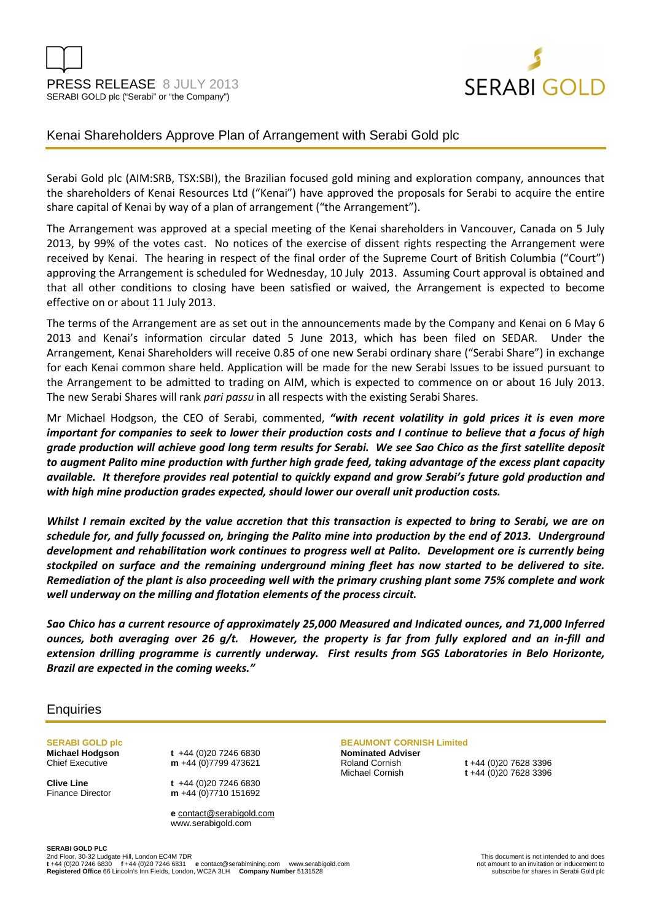



## Kenai Shareholders Approve Plan of Arrangement with Serabi Gold plc

Serabi Gold plc (AIM:SRB, TSX:SBI), the Brazilian focused gold mining and exploration company, announces that the shareholders of Kenai Resources Ltd ("Kenai") have approved the proposals for Serabi to acquire the entire share capital of Kenai by way of a plan of arrangement ("the Arrangement").

The Arrangement was approved at a special meeting of the Kenai shareholders in Vancouver, Canada on 5 July 2013, by 99% of the votes cast. No notices of the exercise of dissent rights respecting the Arrangement were received by Kenai. The hearing in respect of the final order of the Supreme Court of British Columbia ("Court") approving the Arrangement is scheduled for Wednesday, 10 July 2013. Assuming Court approval is obtained and that all other conditions to closing have been satisfied or waived, the Arrangement is expected to become effective on or about 11 July 2013.

The terms of the Arrangement are as set out in the announcements made by the Company and Kenai on 6 May 6 2013 and Kenai's information circular dated 5 June 2013, which has been filed on SEDAR. Under the Arrangement, Kenai Shareholders will receive 0.85 of one new Serabi ordinary share ("Serabi Share") in exchange for each Kenai common share held. Application will be made for the new Serabi Issues to be issued pursuant to the Arrangement to be admitted to trading on AIM, which is expected to commence on or about 16 July 2013. The new Serabi Shares will rank *pari passu* in all respects with the existing Serabi Shares.

Mr Michael Hodgson, the CEO of Serabi, commented, *"with recent volatility in gold prices it is even more important for companies to seek to lower their production costs and I continue to believe that a focus of high grade production will achieve good long term results for Serabi. We see Sao Chico as the first satellite deposit to augment Palito mine production with further high grade feed, taking advantage of the excess plant capacity available. It therefore provides real potential to quickly expand and grow Serabi's future gold production and with high mine production grades expected, should lower our overall unit production costs.* 

*Whilst I remain excited by the value accretion that this transaction is expected to bring to Serabi, we are on schedule for, and fully focussed on, bringing the Palito mine into production by the end of 2013. Underground development and rehabilitation work continues to progress well at Palito. Development ore is currently being stockpiled on surface and the remaining underground mining fleet has now started to be delivered to site. Remediation of the plant is also proceeding well with the primary crushing plant some 75% complete and work well underway on the milling and flotation elements of the process circuit.* 

*Sao Chico has a current resource of approximately 25,000 Measured and Indicated ounces, and 71,000 Inferred ounces, both averaging over 26 g/t. However, the property is far from fully explored and an in-fill and extension drilling programme is currently underway. First results from SGS Laboratories in Belo Horizonte, Brazil are expected in the coming weeks."* 

### **Enquiries**

**SERABI GOLD plc** 

**Michael Hodgson t** +44 (0)20 7246 6830<br>Chief Executive **m** +44 (0)7799 473621 m +44 (0)7799 473621

**Clive Line t** +44 (0)20 7246 6830 Finance Director **m** +44 (0)7710 151692

> **e** contact@serabigold.com www.serabigold.com

# **BEAUMONT CORNISH Limited**

**Nominated Adviser** 

Roland Cornish **t** +44 (0)20 7628 3396 Michael Cornish **t** +44 (0)20 7628 3396